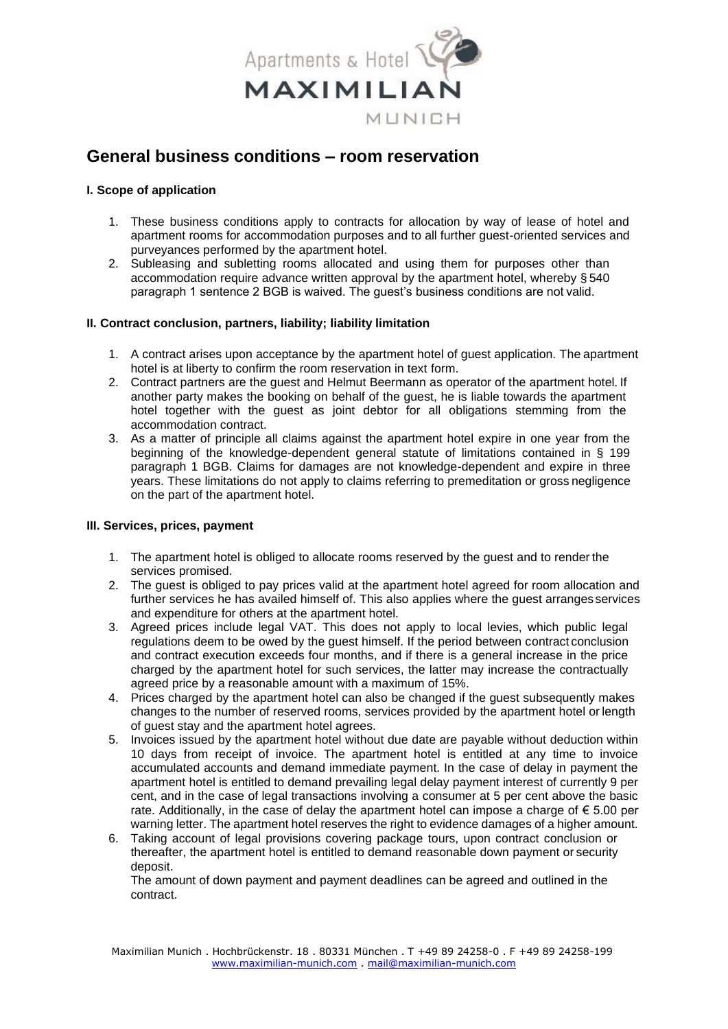

# **General business conditions – room reservation**

## **I. Scope of application**

- 1. These business conditions apply to contracts for allocation by way of lease of hotel and apartment rooms for accommodation purposes and to all further guest-oriented services and purveyances performed by the apartment hotel.
- 2. Subleasing and subletting rooms allocated and using them for purposes other than accommodation require advance written approval by the apartment hotel, whereby § 540 paragraph 1 sentence 2 BGB is waived. The guest's business conditions are not valid.

## **II. Contract conclusion, partners, liability; liability limitation**

- 1. A contract arises upon acceptance by the apartment hotel of guest application. The apartment hotel is at liberty to confirm the room reservation in text form.
- 2. Contract partners are the guest and Helmut Beermann as operator of the apartment hotel. If another party makes the booking on behalf of the guest, he is liable towards the apartment hotel together with the guest as joint debtor for all obligations stemming from the accommodation contract.
- 3. As a matter of principle all claims against the apartment hotel expire in one year from the beginning of the knowledge-dependent general statute of limitations contained in § 199 paragraph 1 BGB. Claims for damages are not knowledge-dependent and expire in three years. These limitations do not apply to claims referring to premeditation or gross negligence on the part of the apartment hotel.

## **III. Services, prices, payment**

- 1. The apartment hotel is obliged to allocate rooms reserved by the guest and to render the services promised.
- 2. The guest is obliged to pay prices valid at the apartment hotel agreed for room allocation and further services he has availed himself of. This also applies where the guest arranges services and expenditure for others at the apartment hotel.
- 3. Agreed prices include legal VAT. This does not apply to local levies, which public legal regulations deem to be owed by the guest himself. If the period between contract conclusion and contract execution exceeds four months, and if there is a general increase in the price charged by the apartment hotel for such services, the latter may increase the contractually agreed price by a reasonable amount with a maximum of 15%.
- 4. Prices charged by the apartment hotel can also be changed if the guest subsequently makes changes to the number of reserved rooms, services provided by the apartment hotel or length of guest stay and the apartment hotel agrees.
- 5. Invoices issued by the apartment hotel without due date are payable without deduction within 10 days from receipt of invoice. The apartment hotel is entitled at any time to invoice accumulated accounts and demand immediate payment. In the case of delay in payment the apartment hotel is entitled to demand prevailing legal delay payment interest of currently 9 per cent, and in the case of legal transactions involving a consumer at 5 per cent above the basic rate. Additionally, in the case of delay the apartment hotel can impose a charge of  $\epsilon$  5.00 per warning letter. The apartment hotel reserves the right to evidence damages of a higher amount.
- 6. Taking account of legal provisions covering package tours, upon contract conclusion or thereafter, the apartment hotel is entitled to demand reasonable down payment or security deposit.

The amount of down payment and payment deadlines can be agreed and outlined in the contract.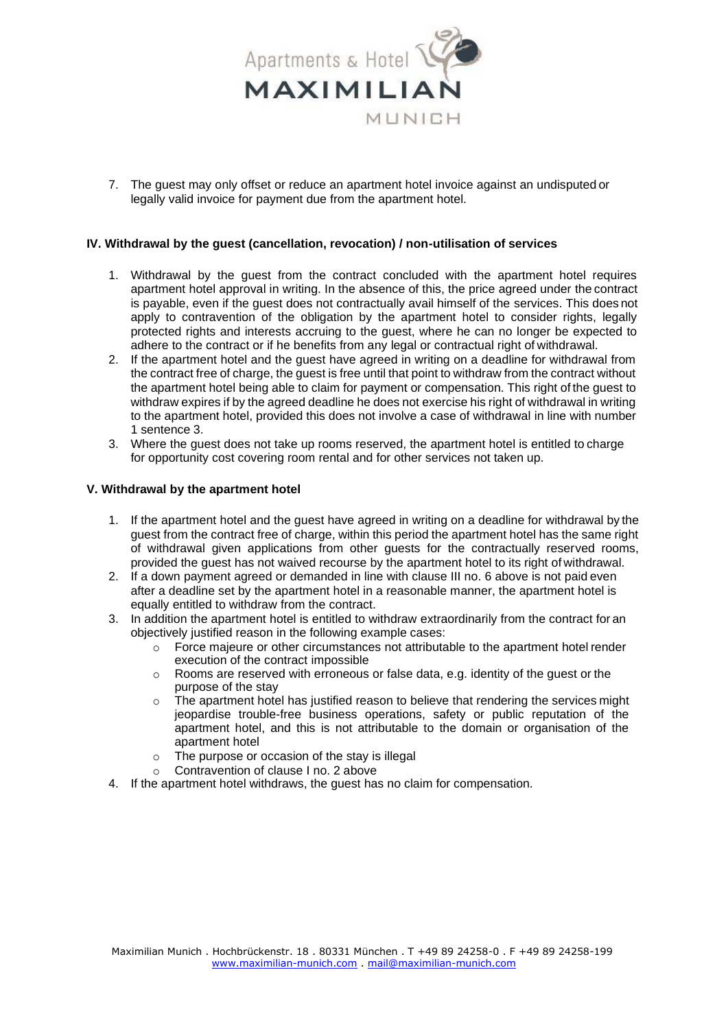

7. The guest may only offset or reduce an apartment hotel invoice against an undisputed or legally valid invoice for payment due from the apartment hotel.

### **IV. Withdrawal by the guest (cancellation, revocation) / non-utilisation of services**

- 1. Withdrawal by the guest from the contract concluded with the apartment hotel requires apartment hotel approval in writing. In the absence of this, the price agreed under the contract is payable, even if the guest does not contractually avail himself of the services. This does not apply to contravention of the obligation by the apartment hotel to consider rights, legally protected rights and interests accruing to the guest, where he can no longer be expected to adhere to the contract or if he benefits from any legal or contractual right of withdrawal.
- 2. If the apartment hotel and the guest have agreed in writing on a deadline for withdrawal from the contract free of charge, the guest is free until that point to withdraw from the contract without the apartment hotel being able to claim for payment or compensation. This right of the guest to withdraw expires if by the agreed deadline he does not exercise his right of withdrawal in writing to the apartment hotel, provided this does not involve a case of withdrawal in line with number 1 sentence 3.
- 3. Where the guest does not take up rooms reserved, the apartment hotel is entitled to charge for opportunity cost covering room rental and for other services not taken up.

#### **V. Withdrawal by the apartment hotel**

- 1. If the apartment hotel and the guest have agreed in writing on a deadline for withdrawal by the guest from the contract free of charge, within this period the apartment hotel has the same right of withdrawal given applications from other guests for the contractually reserved rooms, provided the guest has not waived recourse by the apartment hotel to its right of withdrawal.
- 2. If a down payment agreed or demanded in line with clause III no. 6 above is not paid even after a deadline set by the apartment hotel in a reasonable manner, the apartment hotel is equally entitled to withdraw from the contract.
- 3. In addition the apartment hotel is entitled to withdraw extraordinarily from the contract for an objectively justified reason in the following example cases:
	- o Force majeure or other circumstances not attributable to the apartment hotel render execution of the contract impossible
	- $\circ$  Rooms are reserved with erroneous or false data, e.g. identity of the guest or the purpose of the stay
	- o The apartment hotel has justified reason to believe that rendering the services might jeopardise trouble-free business operations, safety or public reputation of the apartment hotel, and this is not attributable to the domain or organisation of the apartment hotel
	- o The purpose or occasion of the stay is illegal
	- o Contravention of clause I no. 2 above
- 4. If the apartment hotel withdraws, the guest has no claim for compensation.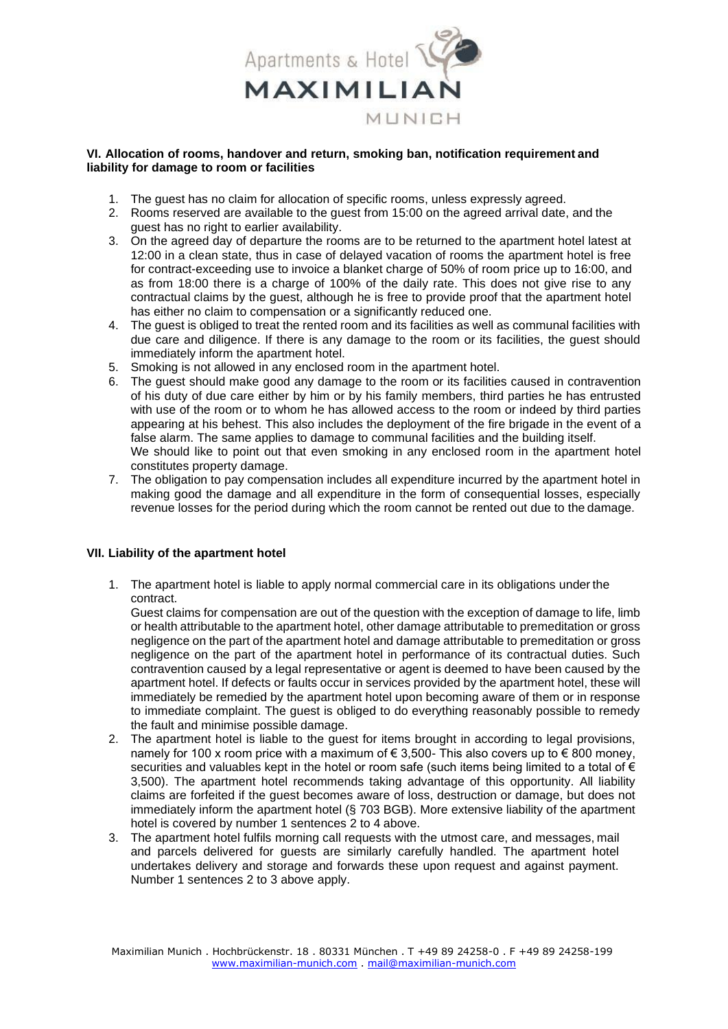

#### **VI. Allocation of rooms, handover and return, smoking ban, notification requirement and liability for damage to room or facilities**

- 1. The guest has no claim for allocation of specific rooms, unless expressly agreed.
- 2. Rooms reserved are available to the guest from 15:00 on the agreed arrival date, and the guest has no right to earlier availability.
- 3. On the agreed day of departure the rooms are to be returned to the apartment hotel latest at 12:00 in a clean state, thus in case of delayed vacation of rooms the apartment hotel is free for contract-exceeding use to invoice a blanket charge of 50% of room price up to 16:00, and as from 18:00 there is a charge of 100% of the daily rate. This does not give rise to any contractual claims by the guest, although he is free to provide proof that the apartment hotel has either no claim to compensation or a significantly reduced one.
- 4. The guest is obliged to treat the rented room and its facilities as well as communal facilities with due care and diligence. If there is any damage to the room or its facilities, the guest should immediately inform the apartment hotel.
- 5. Smoking is not allowed in any enclosed room in the apartment hotel.
- 6. The guest should make good any damage to the room or its facilities caused in contravention of his duty of due care either by him or by his family members, third parties he has entrusted with use of the room or to whom he has allowed access to the room or indeed by third parties appearing at his behest. This also includes the deployment of the fire brigade in the event of a false alarm. The same applies to damage to communal facilities and the building itself. We should like to point out that even smoking in any enclosed room in the apartment hotel constitutes property damage.
- 7. The obligation to pay compensation includes all expenditure incurred by the apartment hotel in making good the damage and all expenditure in the form of consequential losses, especially revenue losses for the period during which the room cannot be rented out due to the damage.

## **VII. Liability of the apartment hotel**

1. The apartment hotel is liable to apply normal commercial care in its obligations under the contract.

Guest claims for compensation are out of the question with the exception of damage to life, limb or health attributable to the apartment hotel, other damage attributable to premeditation or gross negligence on the part of the apartment hotel and damage attributable to premeditation or gross negligence on the part of the apartment hotel in performance of its contractual duties. Such contravention caused by a legal representative or agent is deemed to have been caused by the apartment hotel. If defects or faults occur in services provided by the apartment hotel, these will immediately be remedied by the apartment hotel upon becoming aware of them or in response to immediate complaint. The guest is obliged to do everything reasonably possible to remedy the fault and minimise possible damage.

- 2. The apartment hotel is liable to the guest for items brought in according to legal provisions, namely for 100 x room price with a maximum of € 3,500- This also covers up to € 800 money, securities and valuables kept in the hotel or room safe (such items being limited to a total of € 3,500). The apartment hotel recommends taking advantage of this opportunity. All liability claims are forfeited if the guest becomes aware of loss, destruction or damage, but does not immediately inform the apartment hotel (§ 703 BGB). More extensive liability of the apartment hotel is covered by number 1 sentences 2 to 4 above.
- 3. The apartment hotel fulfils morning call requests with the utmost care, and messages, mail and parcels delivered for guests are similarly carefully handled. The apartment hotel undertakes delivery and storage and forwards these upon request and against payment. Number 1 sentences 2 to 3 above apply.